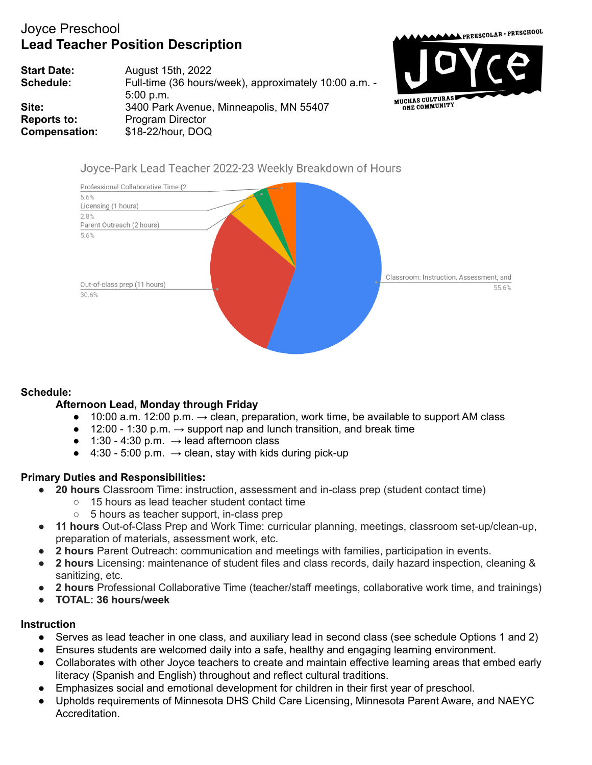## Joyce Preschool **Lead Teacher Position Description**



**Start Date:** August 15th, 2022 **Schedule:** Full-time (36 hours/week), approximately 10:00 a.m. -5:00 p.m. **Site:** 3400 Park Avenue, Minneapolis, MN 55407 **Reports to:** Program Director **Compensation:** \$18-22/hour, DOQ

## Joyce-Park Lead Teacher 2022-23 Weekly Breakdown of Hours



## **Schedule:**

## **Afternoon Lead, Monday through Friday**

- $\bullet$  10:00 a.m. 12:00 p.m. → clean, preparation, work time, be available to support AM class
- $\bullet$  12:00 1:30 p.m.  $\rightarrow$  support nap and lunch transition, and break time
- $\bullet$  1:30 4:30 p.m.  $\rightarrow$  lead afternoon class
- $\bullet$  4:30 5:00 p.m. → clean, stay with kids during pick-up

## **Primary Duties and Responsibilities:**

- **20 hours** Classroom Time: instruction, assessment and in-class prep (student contact time)
	- 15 hours as lead teacher student contact time
	- 5 hours as teacher support, in-class prep
- **11 hours** Out-of-Class Prep and Work Time: curricular planning, meetings, classroom set-up/clean-up, preparation of materials, assessment work, etc.
- **2 hours** Parent Outreach: communication and meetings with families, participation in events.
- **2 hours** Licensing: maintenance of student files and class records, daily hazard inspection, cleaning & sanitizing, etc.
- **2 hours** Professional Collaborative Time (teacher/staff meetings, collaborative work time, and trainings)
- **● TOTAL: 36 hours/week**

### **Instruction**

- Serves as lead teacher in one class, and auxiliary lead in second class (see schedule Options 1 and 2)
- Ensures students are welcomed daily into a safe, healthy and engaging learning environment.
- Collaborates with other Joyce teachers to create and maintain effective learning areas that embed early literacy (Spanish and English) throughout and reflect cultural traditions.
- Emphasizes social and emotional development for children in their first year of preschool.
- Upholds requirements of Minnesota DHS Child Care Licensing, Minnesota Parent Aware, and NAEYC Accreditation.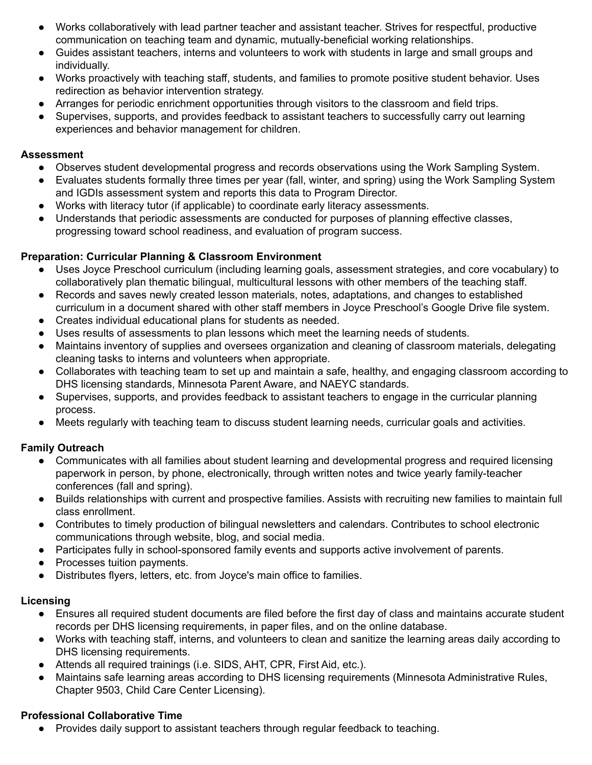- Works collaboratively with lead partner teacher and assistant teacher. Strives for respectful, productive communication on teaching team and dynamic, mutually-beneficial working relationships.
- Guides assistant teachers, interns and volunteers to work with students in large and small groups and individually.
- Works proactively with teaching staff, students, and families to promote positive student behavior. Uses redirection as behavior intervention strategy.
- Arranges for periodic enrichment opportunities through visitors to the classroom and field trips.
- Supervises, supports, and provides feedback to assistant teachers to successfully carry out learning experiences and behavior management for children.

### **Assessment**

- Observes student developmental progress and records observations using the Work Sampling System.
- Evaluates students formally three times per year (fall, winter, and spring) using the Work Sampling System and IGDIs assessment system and reports this data to Program Director.
- Works with literacy tutor (if applicable) to coordinate early literacy assessments.
- Understands that periodic assessments are conducted for purposes of planning effective classes, progressing toward school readiness, and evaluation of program success.

## **Preparation: Curricular Planning & Classroom Environment**

- Uses Joyce Preschool curriculum (including learning goals, assessment strategies, and core vocabulary) to collaboratively plan thematic bilingual, multicultural lessons with other members of the teaching staff.
- Records and saves newly created lesson materials, notes, adaptations, and changes to established curriculum in a document shared with other staff members in Joyce Preschool's Google Drive file system.
- Creates individual educational plans for students as needed.
- Uses results of assessments to plan lessons which meet the learning needs of students.
- Maintains inventory of supplies and oversees organization and cleaning of classroom materials, delegating cleaning tasks to interns and volunteers when appropriate.
- Collaborates with teaching team to set up and maintain a safe, healthy, and engaging classroom according to DHS licensing standards, Minnesota Parent Aware, and NAEYC standards.
- Supervises, supports, and provides feedback to assistant teachers to engage in the curricular planning process.
- Meets regularly with teaching team to discuss student learning needs, curricular goals and activities.

## **Family Outreach**

- Communicates with all families about student learning and developmental progress and required licensing paperwork in person, by phone, electronically, through written notes and twice yearly family-teacher conferences (fall and spring).
- Builds relationships with current and prospective families. Assists with recruiting new families to maintain full class enrollment.
- Contributes to timely production of bilingual newsletters and calendars. Contributes to school electronic communications through website, blog, and social media.
- Participates fully in school-sponsored family events and supports active involvement of parents.
- Processes tuition payments.
- Distributes flyers, letters, etc. from Joyce's main office to families.

## **Licensing**

- Ensures all required student documents are filed before the first day of class and maintains accurate student records per DHS licensing requirements, in paper files, and on the online database.
- Works with teaching staff, interns, and volunteers to clean and sanitize the learning areas daily according to DHS licensing requirements.
- Attends all required trainings (i.e. SIDS, AHT, CPR, First Aid, etc.).
- Maintains safe learning areas according to DHS licensing requirements (Minnesota Administrative Rules, Chapter 9503, Child Care Center Licensing).

## **Professional Collaborative Time**

● Provides daily support to assistant teachers through regular feedback to teaching.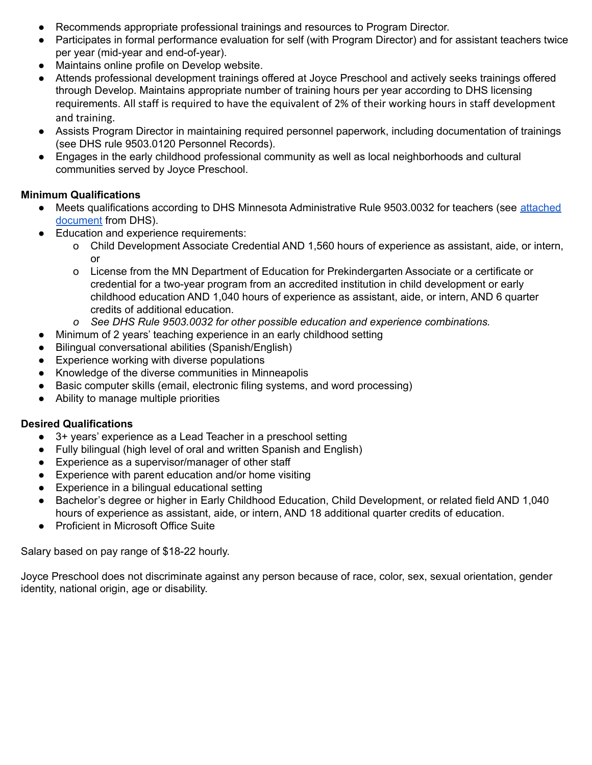- Recommends appropriate professional trainings and resources to Program Director.
- Participates in formal performance evaluation for self (with Program Director) and for assistant teachers twice per year (mid-year and end-of-year).
- Maintains online profile on Develop website.
- Attends professional development trainings offered at Joyce Preschool and actively seeks trainings offered through Develop. Maintains appropriate number of training hours per year according to DHS licensing requirements. All staff is required to have the equivalent of 2% of their working hours in staff development and training.
- Assists Program Director in maintaining required personnel paperwork, including documentation of trainings (see DHS rule 9503.0120 Personnel Records).
- Engages in the early childhood professional community as well as local neighborhoods and cultural communities served by Joyce Preschool.

### **Minimum Qualifications**

- Meets qualifications according to DHS Minnesota Administrative Rule 9503.0032 for teachers (see [attached](https://www.revisor.mn.gov/rules/?id=9503.0032&version=2014-01-18T10:02:35-06:00&format=pdf) [document](https://www.revisor.mn.gov/rules/?id=9503.0032&version=2014-01-18T10:02:35-06:00&format=pdf) from DHS).
- Education and experience requirements:
	- o Child Development Associate Credential AND 1,560 hours of experience as assistant, aide, or intern, or
	- o License from the MN Department of Education for Prekindergarten Associate or a certificate or credential for a two-year program from an accredited institution in child development or early childhood education AND 1,040 hours of experience as assistant, aide, or intern, AND 6 quarter credits of additional education.
	- *o See DHS Rule 9503.0032 for other possible education and experience combinations.*
- Minimum of 2 years' teaching experience in an early childhood setting
- Bilingual conversational abilities (Spanish/English)
- Experience working with diverse populations
- Knowledge of the diverse communities in Minneapolis
- Basic computer skills (email, electronic filing systems, and word processing)
- Ability to manage multiple priorities

### **Desired Qualifications**

- 3+ years' experience as a Lead Teacher in a preschool setting
- Fully bilingual (high level of oral and written Spanish and English)
- Experience as a supervisor/manager of other staff
- Experience with parent education and/or home visiting
- Experience in a bilingual educational setting
- Bachelor's degree or higher in Early Childhood Education, Child Development, or related field AND 1,040 hours of experience as assistant, aide, or intern, AND 18 additional quarter credits of education.
- Proficient in Microsoft Office Suite

Salary based on pay range of \$18-22 hourly.

Joyce Preschool does not discriminate against any person because of race, color, sex, sexual orientation, gender identity, national origin, age or disability.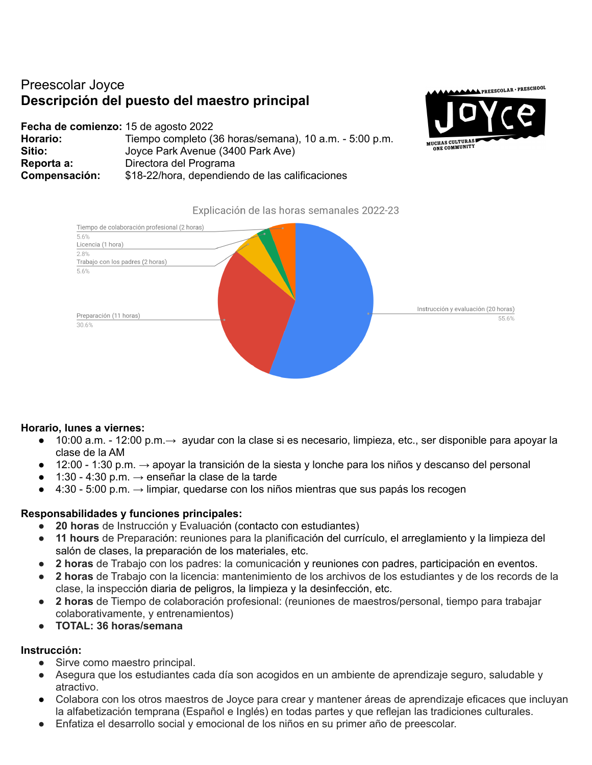# Preescolar Joyce **Descripción del puesto del maestro principal**

**Fecha de comienzo:** 15 de agosto 2022 **Horario:** Tiempo completo (36 horas/semana), 10 a.m. - 5:00 p.m. **Sitio:** Joyce Park Avenue (3400 Park Ave) **Reporta a:** Directora del Programa **Compensación:** \$18-22/hora, dependiendo de las calificaciones





#### Explicación de las horas semanales 2022-23

## **Horario, lunes a viernes:**

- 10:00 a.m. 12:00 p.m.→ ayudar con la clase si es necesario, limpieza, etc., ser disponible para apoyar la clase de la AM
- $\bullet$  12:00 1:30 p.m. → apoyar la transición de la siesta y lonche para los niños y descanso del personal
- 1:30 4:30 p.m.  $\rightarrow$  enseñar la clase de la tarde
- $\bullet$  4:30 5:00 p.m. → limpiar, quedarse con los niños mientras que sus papás los recogen

## **Responsabilidades y funciones principales:**

- **20 horas** de Instrucción y Evaluación (contacto con estudiantes)
- **11 hours** de Preparación: reuniones para la planificación del currículo, el arreglamiento y la limpieza del salón de clases, la preparación de los materiales, etc.
- **2 horas** de Trabajo con los padres: la comunicación y reuniones con padres, participación en eventos.
- **2 horas** de Trabajo con la licencia: mantenimiento de los archivos de los estudiantes y de los records de la clase, la inspección diaria de peligros, la limpieza y la desinfección, etc.
- **2 horas** de Tiempo de colaboración profesional: (reuniones de maestros/personal, tiempo para trabajar colaborativamente, y entrenamientos)
- **● TOTAL: 36 horas/semana**

## **Instrucción:**

- Sirve como maestro principal.
- Asegura que los estudiantes cada día son acogidos en un ambiente de aprendizaje seguro, saludable y atractivo.
- Colabora con los otros maestros de Joyce para crear y mantener áreas de aprendizaje eficaces que incluyan la alfabetización temprana (Español e Inglés) en todas partes y que reflejan las tradiciones culturales.
- Enfatiza el desarrollo social y emocional de los niños en su primer año de preescolar.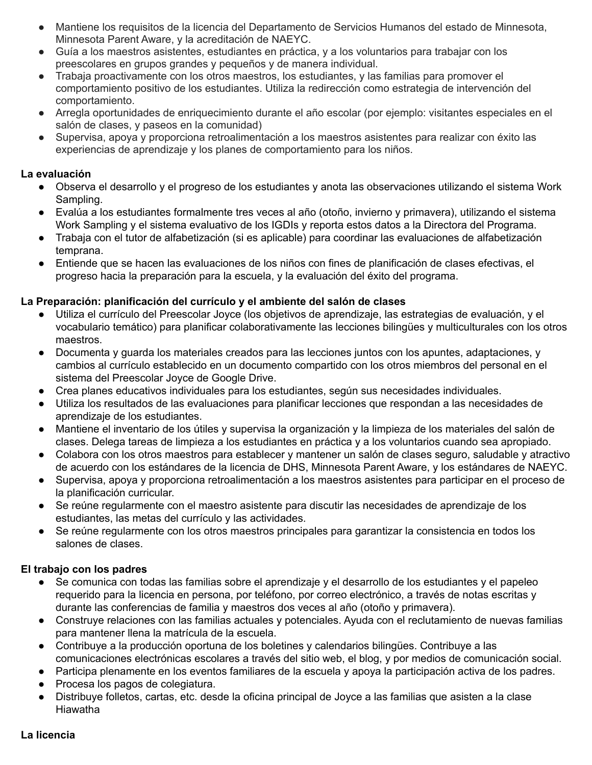- Mantiene los requisitos de la licencia del Departamento de Servicios Humanos del estado de Minnesota, Minnesota Parent Aware, y la acreditación de NAEYC.
- Guía a los maestros asistentes, estudiantes en práctica, y a los voluntarios para trabajar con los preescolares en grupos grandes y pequeños y de manera individual.
- Trabaia proactivamente con los otros maestros, los estudiantes, y las familias para promover el comportamiento positivo de los estudiantes. Utiliza la redirección como estrategia de intervención del comportamiento.
- Arregla oportunidades de enriquecimiento durante el año escolar (por ejemplo: visitantes especiales en el salón de clases, y paseos en la comunidad)
- Supervisa, apoya y proporciona retroalimentación a los maestros asistentes para realizar con éxito las experiencias de aprendizaje y los planes de comportamiento para los niños.

### **La evaluación**

- Observa el desarrollo y el progreso de los estudiantes y anota las observaciones utilizando el sistema Work Sampling.
- Evalúa a los estudiantes formalmente tres veces al año (otoño, invierno y primavera), utilizando el sistema Work Sampling y el sistema evaluativo de los IGDIs y reporta estos datos a la Directora del Programa.
- Trabaja con el tutor de alfabetización (si es aplicable) para coordinar las evaluaciones de alfabetización temprana.
- Entiende que se hacen las evaluaciones de los niños con fines de planificación de clases efectivas, el progreso hacia la preparación para la escuela, y la evaluación del éxito del programa.

## **La Preparación: planificación del currículo y el ambiente del salón de clases**

- Utiliza el currículo del Preescolar Joyce (los objetivos de aprendizaje, las estrategias de evaluación, y el vocabulario temático) para planificar colaborativamente las lecciones bilingües y multiculturales con los otros maestros.
- Documenta y guarda los materiales creados para las lecciones juntos con los apuntes, adaptaciones, y cambios al currículo establecido en un documento compartido con los otros miembros del personal en el sistema del Preescolar Joyce de Google Drive.
- Crea planes educativos individuales para los estudiantes, según sus necesidades individuales.
- Utiliza los resultados de las evaluaciones para planificar lecciones que respondan a las necesidades de aprendizaje de los estudiantes.
- Mantiene el inventario de los útiles y supervisa la organización y la limpieza de los materiales del salón de clases. Delega tareas de limpieza a los estudiantes en práctica y a los voluntarios cuando sea apropiado.
- Colabora con los otros maestros para establecer y mantener un salón de clases seguro, saludable y atractivo de acuerdo con los estándares de la licencia de DHS, Minnesota Parent Aware, y los estándares de NAEYC.
- Supervisa, apoya y proporciona retroalimentación a los maestros asistentes para participar en el proceso de la planificación curricular.
- Se reúne regularmente con el maestro asistente para discutir las necesidades de aprendizaje de los estudiantes, las metas del currículo y las actividades.
- Se reúne regularmente con los otros maestros principales para garantizar la consistencia en todos los salones de clases.

## **El trabajo con los padres**

- Se comunica con todas las familias sobre el aprendizaje y el desarrollo de los estudiantes y el papeleo requerido para la licencia en persona, por teléfono, por correo electrónico, a través de notas escritas y durante las conferencias de familia y maestros dos veces al año (otoño y primavera).
- Construye relaciones con las familias actuales y potenciales. Ayuda con el reclutamiento de nuevas familias para mantener llena la matrícula de la escuela.
- Contribuye a la producción oportuna de los boletines y calendarios bilingües. Contribuye a las comunicaciones electrónicas escolares a través del sitio web, el blog, y por medios de comunicación social.
- Participa plenamente en los eventos familiares de la escuela y apoya la participación activa de los padres.
- Procesa los pagos de colegiatura.
- Distribuye folletos, cartas, etc. desde la oficina principal de Joyce a las familias que asisten a la clase Hiawatha

## **La licencia**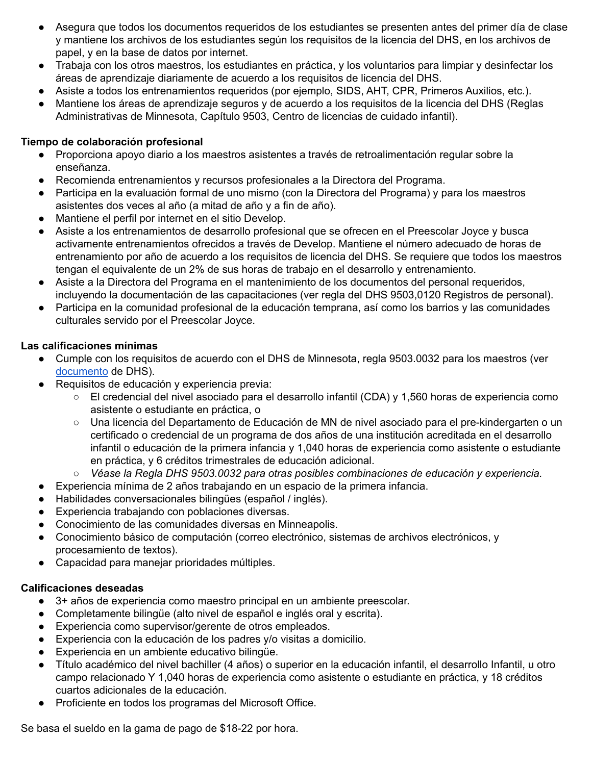- Asegura que todos los documentos requeridos de los estudiantes se presenten antes del primer día de clase y mantiene los archivos de los estudiantes según los requisitos de la licencia del DHS, en los archivos de papel, y en la base de datos por internet.
- Trabaja con los otros maestros, los estudiantes en práctica, y los voluntarios para limpiar y desinfectar los áreas de aprendizaje diariamente de acuerdo a los requisitos de licencia del DHS.
- Asiste a todos los entrenamientos requeridos (por ejemplo, SIDS, AHT, CPR, Primeros Auxilios, etc.).
- Mantiene los áreas de aprendizaje seguros y de acuerdo a los reguisitos de la licencia del DHS (Reglas Administrativas de Minnesota, Capítulo 9503, Centro de licencias de cuidado infantil).

### **Tiempo de colaboración profesional**

- Proporciona apoyo diario a los maestros asistentes a través de retroalimentación regular sobre la enseñanza.
- Recomienda entrenamientos y recursos profesionales a la Directora del Programa.
- Participa en la evaluación formal de uno mismo (con la Directora del Programa) y para los maestros asistentes dos veces al año (a mitad de año y a fin de año).
- Mantiene el perfil por internet en el sitio Develop.
- Asiste a los entrenamientos de desarrollo profesional que se ofrecen en el Preescolar Joyce y busca activamente entrenamientos ofrecidos a través de Develop. Mantiene el número adecuado de horas de entrenamiento por año de acuerdo a los requisitos de licencia del DHS. Se requiere que todos los maestros tengan el equivalente de un 2% de sus horas de trabajo en el desarrollo y entrenamiento.
- Asiste a la Directora del Programa en el mantenimiento de los documentos del personal requeridos, incluyendo la documentación de las capacitaciones (ver regla del DHS 9503,0120 Registros de personal).
- Participa en la comunidad profesional de la educación temprana, así como los barrios y las comunidades culturales servido por el Preescolar Joyce.

### **Las calificaciones mínimas**

- Cumple con los requisitos de acuerdo con el DHS de Minnesota, regla 9503.0032 para los maestros (ver [documento](https://www.revisor.mn.gov/rules/?id=9503.0032&version=2014-01-18T10:02:35-06:00&format=pdf) de DHS).
- Requisitos de educación y experiencia previa:
	- El credencial del nivel asociado para el desarrollo infantil (CDA) y 1,560 horas de experiencia como asistente o estudiante en práctica, o
	- Una licencia del Departamento de Educación de MN de nivel asociado para el pre-kindergarten o un certificado o credencial de un programa de dos años de una institución acreditada en el desarrollo infantil o educación de la primera infancia y 1,040 horas de experiencia como asistente o estudiante en práctica, y 6 créditos trimestrales de educación adicional.
	- *○ Véase la Regla DHS 9503.0032 para otras posibles combinaciones de educación y experiencia.*
- Experiencia mínima de 2 años trabajando en un espacio de la primera infancia.
- Habilidades conversacionales bilingües (español / inglés).
- Experiencia trabajando con poblaciones diversas.
- Conocimiento de las comunidades diversas en Minneapolis.
- Conocimiento básico de computación (correo electrónico, sistemas de archivos electrónicos, y procesamiento de textos).
- Capacidad para manejar prioridades múltiples.

### **Calificaciones deseadas**

- 3+ años de experiencia como maestro principal en un ambiente preescolar.
- Completamente bilingüe (alto nivel de español e inglés oral y escrita).
- Experiencia como supervisor/gerente de otros empleados.
- Experiencia con la educación de los padres y/o visitas a domicilio.
- Experiencia en un ambiente educativo bilingüe.
- Título académico del nivel bachiller (4 años) o superior en la educación infantil, el desarrollo Infantil, u otro campo relacionado Y 1,040 horas de experiencia como asistente o estudiante en práctica, y 18 créditos cuartos adicionales de la educación.
- Proficiente en todos los programas del Microsoft Office.

Se basa el sueldo en la gama de pago de \$18-22 por hora.